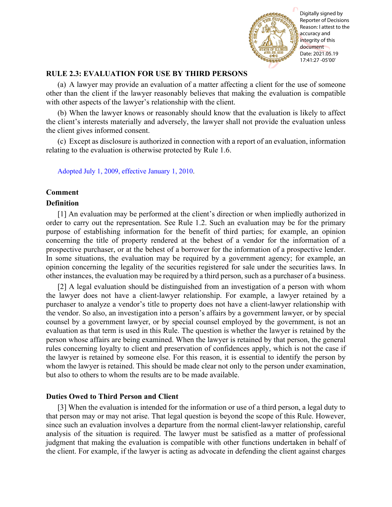

# **RULE 2.3: EVALUATION FOR USE BY THIRD PERSONS**

(a) A lawyer may provide an evaluation of a matter affecting a client for the use of someone other than the client if the lawyer reasonably believes that making the evaluation is compatible with other aspects of the lawyer's relationship with the client.

(b) When the lawyer knows or reasonably should know that the evaluation is likely to affect the client's interests materially and adversely, the lawyer shall not provide the evaluation unless the client gives informed consent.

(c) Except as disclosure is authorized in connection with a report of an evaluation, information relating to the evaluation is otherwise protected by Rule 1.6.

[Adopted July 1, 2009, effective January 1, 2010.](http://www.illinoiscourts.gov/files/070109.pdf/amendment)

## **Comment**

### **Definition**

[1] An evaluation may be performed at the client's direction or when impliedly authorized in order to carry out the representation. See Rule 1.2. Such an evaluation may be for the primary purpose of establishing information for the benefit of third parties; for example, an opinion concerning the title of property rendered at the behest of a vendor for the information of a prospective purchaser, or at the behest of a borrower for the information of a prospective lender. In some situations, the evaluation may be required by a government agency; for example, an opinion concerning the legality of the securities registered for sale under the securities laws. In other instances, the evaluation may be required by a third person, such as a purchaser of a business.

[2] A legal evaluation should be distinguished from an investigation of a person with whom the lawyer does not have a client-lawyer relationship. For example, a lawyer retained by a purchaser to analyze a vendor's title to property does not have a client-lawyer relationship with the vendor. So also, an investigation into a person's affairs by a government lawyer, or by special counsel by a government lawyer, or by special counsel employed by the government, is not an evaluation as that term is used in this Rule. The question is whether the lawyer is retained by the person whose affairs are being examined. When the lawyer is retained by that person, the general rules concerning loyalty to client and preservation of confidences apply, which is not the case if the lawyer is retained by someone else. For this reason, it is essential to identify the person by whom the lawyer is retained. This should be made clear not only to the person under examination, but also to others to whom the results are to be made available. **EXECUTE:**<br> **EXECUTE: EXECUTE: EXECUTE: EXECUTE: EXECUTE: EXECUTE: EXECUTE: EXECUTE: EXECUTE: EXECUTE: EXECUTE: EXECUTE: EXECUTE: EXECUTE: EXECUTE: EXECUTE: EXECUTE: EXECUTE: EXECUTE:**

### **Duties Owed to Third Person and Client**

[3] When the evaluation is intended for the information or use of a third person, a legal duty to that person may or may not arise. That legal question is beyond the scope of this Rule. However, since such an evaluation involves a departure from the normal client-lawyer relationship, careful analysis of the situation is required. The lawyer must be satisfied as a matter of professional judgment that making the evaluation is compatible with other functions undertaken in behalf of